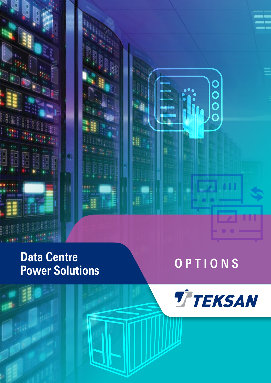

### Data Centre<br> **Data Centre Data Colutions Power Solutions**

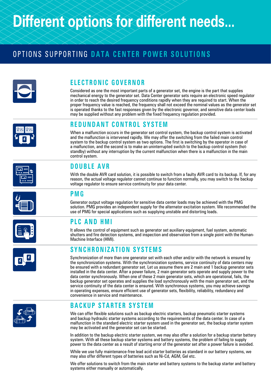## **Different options for different needs...**

### OPTIONS SUPPORTING **DATA CENTER POWER SOLUTIONS**



#### **ELECTRONIC GOVERNOR**

Considered as one the most important parts of a generator set, the engine is the part that supplies mechanical energy to the generator set. Data Center generator sets require an electronic speed regulator in order to reach the desired frequency conditions rapidly when they are required to start. When the proper frequency value is reached, the frequency shall not exceed the nominal values as the generator set is operated thanks to the fast responses given by the electronic governor, and sensitive data center loads may be supplied without any problem with the fixed frequency regulation provided.



#### **REDUNDANT CONTROL SYSTEM**

When a malfunction occurs in the generator set control system, the backup control system is activated and the malfunction is intervened rapidly. We may offer the switching from the failed main control system to the backup control system as two options. The first is switching by the operator in case of a malfunction, and the second is to make an uninterrupted switch to the backup control system (hotstandby) without any interruption by the current malfunction when there is a malfunction in the main control system.

#### **DOUBLE AVR**

With the double AVR card solution, it is possible to switch from a faulty AVR card to its backup. If, for any reason, the actual voltage regulator cannot continue to function normally, you may switch to the backup voltage regulator to ensure service continuity for your data center.

#### **PMG**

Generator output voltage regulation for sensitive data center loads may be achieved with the PMG solution. PMG provides an independent supply for the alternator excitation system. We recommended the use of PMG for special applications such as supplying unstable and distorting loads.

#### **PLC AND HMI**

It allows the control of equipment such as generator set auxiliary equipment, fuel system, automatic shutters and fire detection systems, and inspection and observation from a single point with the Human-Machine Interface (HMI).

#### **SYNCHRONIZATION SYSTEMS**

Synchronization of more than one generator set with each other and/or with the network is ensured by the synchronization systems. With the synchronization systems, service continuity of data centers may be ensured with a redundant generator set. Let us assume there are 2 main and 1 backup generator sets installed in the data center. After a power failure, 2 main generator sets operate and supply power to the data center synchronously. When one of these 2 main generator sets, which are operational, fails, the backup generator set operates and supplies the load synchronously with the main generator set, and the service continuity of the data center is ensured. With synchronous systems, you may achieve savings in operating expenses, ensure efficient use of generator sets, flexibility, reliability, redundancy and convenience in service and maintenance.



#### **BACKUP STARTER SYSTEM**

We can offer flexible solutions such as backup electric starters, backup pneumatic starter systems and backup hydraulic starter systems according to the requirements of the data center. In case of a malfunction in the standard electric starter system used in the generator set, the backup starter system may be activated and the generator set can be started.

In addition to the backup electric starter system, we may also offer a solution for a backup starter battery system. With all these backup starter systems and battery systems, the problem of failing to supply power to the data center as a result of starting error of the generator set after a power failure is avoided.

While we use fully maintenance-free lead acid starter batteries as standard in our battery systems, we may also offer different types of batteries such as Ni-Cd, AGM, Gel etc.

We offer solutions to switch from the main starter and battery systems to the backup starter and battery systems either manually or automatically.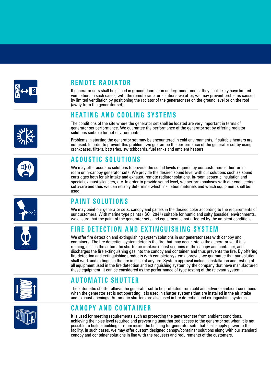

#### **REMOTE RADIATOR**

If generator sets shall be placed in ground floors or in underground rooms, they shall likely have limited ventilation. In such cases, with the remote radiator solutions we offer, we may prevent problems caused by limited ventilation by positioning the radiator of the generator set on the ground level or on the roof (away from the generator set).

#### **HEATING AND COOLING SYSTEMS**

The conditions of the site where the generator set shall be located are very important in terms of generator set performance. We guarantee the performance of the generator set by offering radiator solutions suitable for hot environments.

Problems in starting the generator set may be encountered in cold environments, if suitable heaters are not used. In order to prevent this problem, we guarantee the performance of the generator set by using crankcases, filters, batteries, switchboards, fuel tanks and ambient heaters.

#### **ACOUSTIC SOLUTIONS**

We may offer acoustic solutions to provide the sound levels required by our customers either for inroom or in-canopy generator sets. We provide the desired sound level with our solutions such as sound cartridges both for air intake and exhaust, remote radiator solutions, in-room acoustic insulation and special exhaust silencers, etc. In order to provide sound level, we perform analyses with our engineering software and thus we can reliably determine which insulation materials and which equipment shall be used.

#### **PAINT SOLUTIONS**

We may paint our generator sets, canopy and panels in the desired color according to the requirements of our customers. With marine type paints (ISO 12944) suitable for humid and salty (seaside) environments, we ensure that the paint of the generator sets and equipment is not affected by the ambient conditions.

#### **FIRE DETECTION AND EXTINGUISHING SYSTEM**

We offer fire detection and extinguishing system solutions in our generator sets with canopy and containers. The fire detection system detects the fire that may occur, stops the generator set if it is running, closes the automatic shutter air intake/exhaust sections of the canopy and container, and discharges the fire extinguishing gas into the canopy and container, and thus prevents the fire. By offering fire detection and extinguishing products with complete system approval, we guarantee that our solution shall work and extinguish the fire in case of any fire. System approval includes installation and testing of all equipment used in the fire detection and extinguishing system by the company that have manufactured these equipment. It can be considered as the performance of type testing of the relevant system.

#### **AUTOMATIC SHUTTER**

The automatic shutter allows the generator set to be protected from cold and adverse ambient conditions when the generator set is not operating. It is used in shutter systems that are installed in the air intake and exhaust openings. Automatic shutters are also used in fire detection and extinguishing systems.

#### **CANOPY AND CONTAINER**

It is used for meeting requirements such as protecting the generator set from ambient conditions, achieving the noise level required and preventing unauthorized access to the generator set when it is not possible to build a building or room inside the building for generator sets that shall supply power to the facility. In such cases, we may offer custom designed canopy/container solutions along with our standard canopy and container solutions in line with the requests and requirements of the customers.











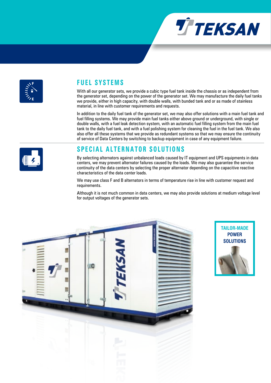



#### **FUEL SYSTEMS**

With all our generator sets, we provide a cubic type fuel tank inside the chassis or as independent from the generator set, depending on the power of the generator set. We may manufacture the daily fuel tanks we provide, either in high capacity, with double walls, with bunded tank and or as made of stainless material, in line with customer requirements and requests.

In addition to the daily fuel tank of the generator set, we may also offer solutions with a main fuel tank and fuel filling systems. We may provide main fuel tanks either above ground or underground, with single or double walls, with a fuel leak detection system, with an automatic fuel filling system from the main fuel tank to the daily fuel tank, and with a fuel polishing system for cleaning the fuel in the fuel tank. We also also offer all these systems that we provide as redundant systems so that we may ensure the continuity of service of Data Centers by switching to backup equipment in case of any equipment failure.

#### **SPECIAL ALTERNATOR SOLUTIONS**

By selecting alternators against unbalanced loads caused by IT equipment and UPS equipments in data centers, we may prevent alternator failures caused by the loads. We may also guarantee the service continuity of the data centers by selecting the proper alternator depending on the capacitive reactive characteristics of the data center loads.

We may use class F and B alternators in terms of temperature rise in line with customer request and requirements.

Although it is not much common in data centers, we may also provide solutions at medium voltage level for output voltages of the generator sets.





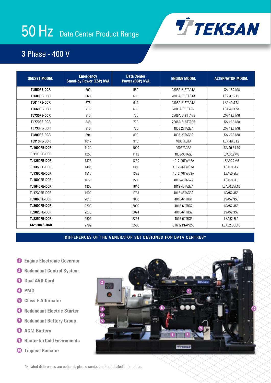# 50 Hz Data Center Product Range



#### 3 Phase - 400 V

| <b>GENSET MODEL</b> | <b>Emergency</b><br><b>Stand-by Power (ESP) kVA</b> | <b>Data Center</b><br>Power (DCP) kVA | <b>ENGINE MODEL</b> | <b>ALTERNATOR MODEL</b> |
|---------------------|-----------------------------------------------------|---------------------------------------|---------------------|-------------------------|
| <b>TJ550PE-DCR</b>  | 600                                                 | 550                                   | 2806A-E18TAG1A      | LSA 47.2 M8             |
| TJ600PE-DCR         | 660                                                 | 600                                   | 2806A-E18TAG1A      | LSA 47.2 L9             |
| TJ614PE-DCR         | 675                                                 | 614                                   | 2806A-F18TAG1A      | LSA 49.3 S4             |
| TJ660PE-DCR         | 715                                                 | 660                                   | 2806A-E18TAG2       | LSA 49.3 S4             |
| TJ730PE-DCR         | 810                                                 | 730                                   | 2806A-E18TTAG5      | LSA 49.3 M6             |
| <b>TJ770PE-DCR</b>  | 848                                                 | 770                                   | 2806A-E18TTAG5      | LSA 49.3 M8             |
| TJ730PE-DCR         | 810                                                 | 730                                   | 4006-23TAG2A        | LSA 49.3 M6             |
| TJ800PE-DCR         | 894                                                 | 800                                   | 4006-23TAG3A        | LSA 49.3 M8             |
| TJ910PE-DCR         | 1017                                                | 910                                   | 4008TAG1A           | LSA 49.3 L9             |
| TJ1000PE-DCR        | 1130                                                | 1000                                  | 4008TAG2A           | LSA 49.3 L10            |
| <b>TJ1110PE-DCR</b> | 1250                                                | 1112                                  | 4008-30TAG3         | LSA50.2M6               |
| TJ1250PE-DCR        | 1375                                                | 1250                                  | 4012-46TWG2A        | ISA50.2M6               |
| <b>TJ1350PE-DCR</b> | 1485                                                | 1350                                  | 4012-46TWG3A        | LSA50.2L7               |
| TJ1380PE-DCR        | 1516                                                | 1382                                  | 4012-46TWG3A        | LSA50.2L8               |
| TJ1500PE-DCR        | 1650                                                | 1500                                  | 4012-46TAG2A        | LSA50.2L8               |
| TJ1640PE-DCR        | 1800                                                | 1640                                  | 4012-46TAG3A        | LSA50.2VL10             |
| <b>TJ1730PE-DCR</b> | 1902                                                | 1733                                  | 4012-46TAG3A        | LSA52.3S5               |
| TJ1860PE-DCR        | 2018                                                | 1860                                  | 4016-61TRG1         | LSA52.3S5               |
| TJ2000PE-DCR        | 2200                                                | 2000                                  | 4016-61TRG2         | LSA52.3S6               |
| <b>TJ2020PE-DCR</b> | 2273                                                | 2024                                  | 4016-61TRG2         | LSA52.3S7               |
| <b>TJ2250PE-DCR</b> | 2502                                                | 2256                                  | 4016-61TRG3         | LSA52.3L9               |
| TJ2530MS-DCR        | 2792                                                | 2530                                  | S16R2 PTAW2-E       | LSA52.3UL16             |

#### **DIFFERENCES OF THE GENERATOR SET DESIGNED FOR DATA CENTRES\***

- **1 Engine Electronic Governor**
- **2 Redundant Control System**
- **3 Dual AVR Card**
- **4 PMG**
- **5 Class F Alternator**
- **6 Redundant Electric Starter**
- **7 Redundant Battery Group**
- **8 AGM Battery**
- **9 Heater for Cold Enviroments**
- **10 Tropical Radiator**



\*Related differences are optional, please contact us for detailed information.